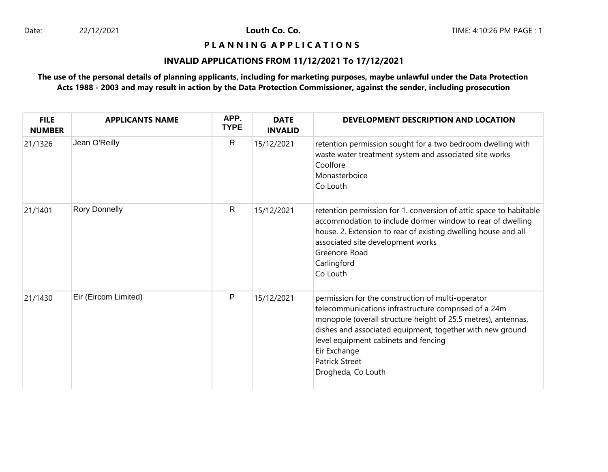Louth Co. Co.

#### **P L A N N I N G A P P L I C A T I O N S**

## **INVALID APPLICATIONS FROM 11/12/2021 To 17/12/2021**

# **The use of the personal details of planning applicants, including for marketing purposes, maybe unlawful under the Data Protection Acts 1988 - 2003 and may result in action by the Data Protection Commissioner, against the sender, including prosecution**

| <b>FILE</b><br><b>NUMBER</b> | <b>APPLICANTS NAME</b> | APP.<br><b>TYPE</b> | <b>DATE</b><br><b>INVALID</b> | DEVELOPMENT DESCRIPTION AND LOCATION                                                                                                                                                                                                                                                                                                           |
|------------------------------|------------------------|---------------------|-------------------------------|------------------------------------------------------------------------------------------------------------------------------------------------------------------------------------------------------------------------------------------------------------------------------------------------------------------------------------------------|
| 21/1326                      | Jean O'Reilly          | R                   | 15/12/2021                    | retention permission sought for a two bedroom dwelling with<br>waste water treatment system and associated site works<br>Coolfore<br>Monasterboice<br>Co Louth                                                                                                                                                                                 |
| 21/1401                      | <b>Rory Donnelly</b>   | $\mathsf{R}$        | 15/12/2021                    | retention permission for 1. conversion of attic space to habitable<br>accommodation to include dormer window to rear of dwelling<br>house. 2. Extension to rear of existing dwelling house and all<br>associated site development works<br>Greenore Road<br>Carlingford<br>Co Louth                                                            |
| 21/1430                      | Eir (Eircom Limited)   | P                   | 15/12/2021                    | permission for the construction of multi-operator<br>telecommunications infrastructure comprised of a 24m<br>monopole (overall structure height of 25.5 metres), antennas,<br>dishes and associated equipment, together with new ground<br>level equipment cabinets and fencing<br>Eir Exchange<br><b>Patrick Street</b><br>Drogheda, Co Louth |